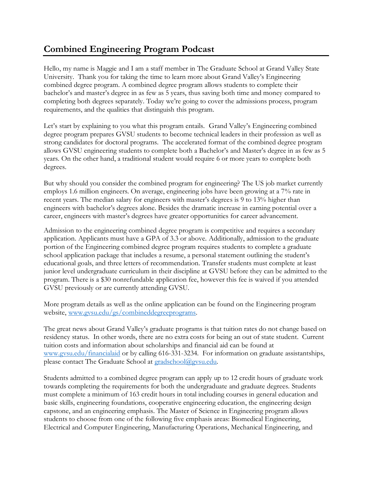## **Combined Engineering Program Podcast**

Hello, my name is Maggie and I am a staff member in The Graduate School at Grand Valley State University. Thank you for taking the time to learn more about Grand Valley's Engineering combined degree program. A combined degree program allows students to complete their bachelor's and master's degree in as few as 5 years, thus saving both time and money compared to completing both degrees separately. Today we're going to cover the admissions process, program requirements, and the qualities that distinguish this program.

Let's start by explaining to you what this program entails. Grand Valley's Engineering combined degree program prepares GVSU students to become technical leaders in their profession as well as strong candidates for doctoral programs. The accelerated format of the combined degree program allows GVSU engineering students to complete both a Bachelor's and Master's degree in as few as 5 years. On the other hand, a traditional student would require 6 or more years to complete both degrees.

But why should you consider the combined program for engineering? The US job market currently employs 1.6 million engineers. On average, engineering jobs have been growing at a 7% rate in recent years. The median salary for engineers with master's degrees is 9 to 13% higher than engineers with bachelor's degrees alone. Besides the dramatic increase in earning potential over a career, engineers with master's degrees have greater opportunities for career advancement.

Admission to the engineering combined degree program is competitive and requires a secondary application. Applicants must have a GPA of 3.3 or above. Additionally, admission to the graduate portion of the Engineering combined degree program requires students to complete a graduate school application package that includes a resume, a personal statement outlining the student's educational goals, and three letters of recommendation. Transfer students must complete at least junior level undergraduate curriculum in their discipline at GVSU before they can be admitted to the program. There is a \$30 nonrefundable application fee, however this fee is waived if you attended GVSU previously or are currently attending GVSU.

More program details as well as the online application can be found on the Engineering program website, [www.gvsu.edu/gs/combineddegreeprograms.](www.gvsu.edu/gs/combineddegreeprograms)

The great news about Grand Valley's graduate programs is that tuition rates do not change based on residency status. In other words, there are no extra costs for being an out of state student. Current tuition costs and information about scholarships and financial aid can be found at [www.gvsu.edu/financialaid](http://www.gvsu.edu/financialaid) or by calling 616-331-3234. For information on graduate assistantships, please contact The Graduate School at [gradschool@gvsu.edu.](mailto:gradschool@gvsu.edu)

Students admitted to a combined degree program can apply up to 12 credit hours of graduate work towards completing the requirements for both the undergraduate and graduate degrees. Students must complete a minimum of 163 credit hours in total including courses in general education and basic skills, engineering foundations, cooperative engineering education, the engineering design capstone, and an engineering emphasis. The Master of Science in Engineering program allows students to choose from one of the following five emphasis areas: Biomedical Engineering, Electrical and Computer Engineering, Manufacturing Operations, Mechanical Engineering, and